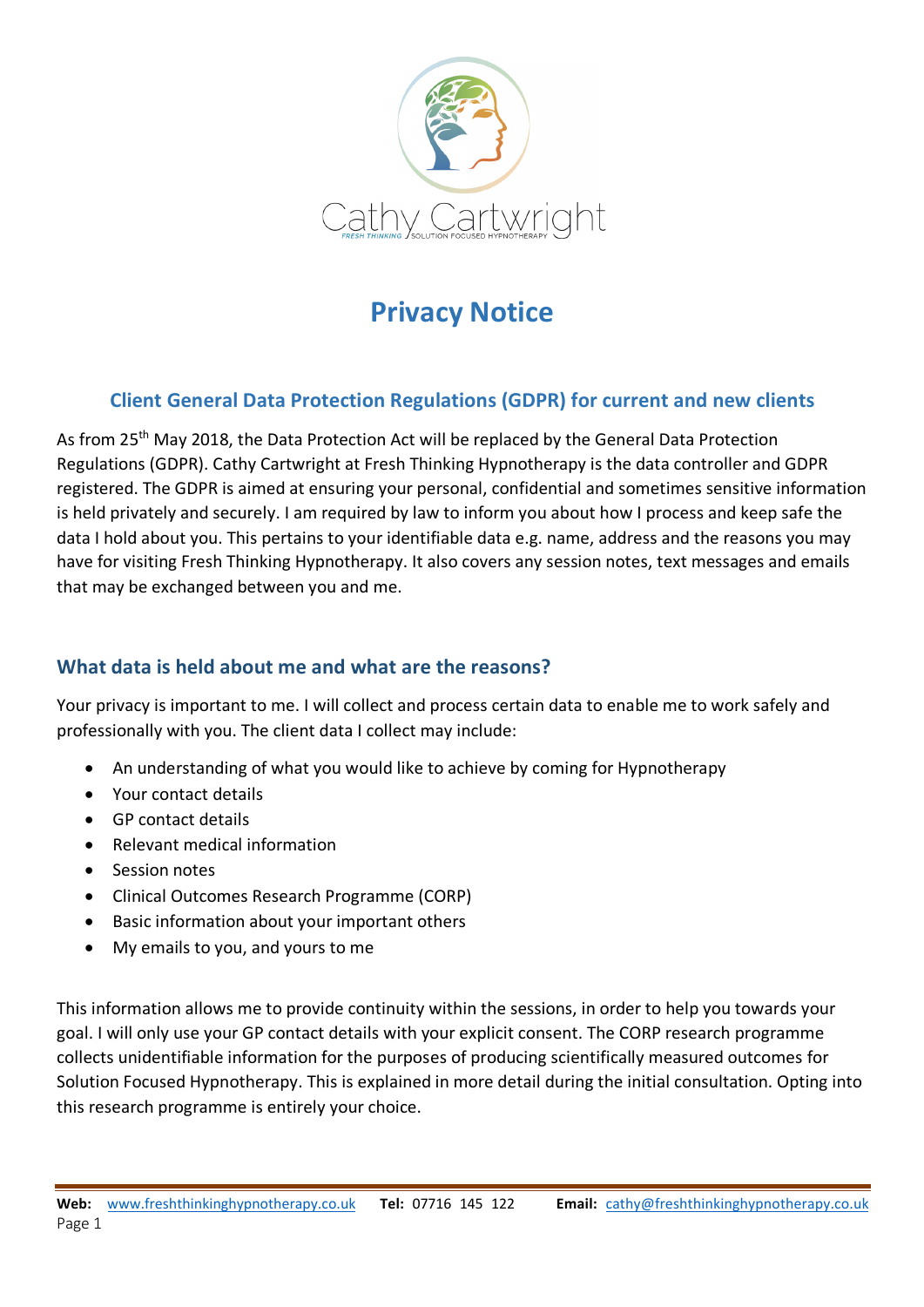

# **Privacy Notice**

# **Client General Data Protection Regulations (GDPR) for current and new clients**

As from 25<sup>th</sup> May 2018, the Data Protection Act will be replaced by the General Data Protection Regulations (GDPR). Cathy Cartwright at Fresh Thinking Hypnotherapy is the data controller and GDPR registered. The GDPR is aimed at ensuring your personal, confidential and sometimes sensitive information is held privately and securely. I am required by law to inform you about how I process and keep safe the data I hold about you. This pertains to your identifiable data e.g. name, address and the reasons you may have for visiting Fresh Thinking Hypnotherapy. It also covers any session notes, text messages and emails that may be exchanged between you and me.

## **What data is held about me and what are the reasons?**

Your privacy is important to me. I will collect and process certain data to enable me to work safely and professionally with you. The client data I collect may include:

- An understanding of what you would like to achieve by coming for Hypnotherapy
- Your contact details
- GP contact details
- Relevant medical information
- Session notes
- Clinical Outcomes Research Programme (CORP)
- Basic information about your important others
- My emails to you, and yours to me

This information allows me to provide continuity within the sessions, in order to help you towards your goal. I will only use your GP contact details with your explicit consent. The CORP research programme collects unidentifiable information for the purposes of producing scientifically measured outcomes for Solution Focused Hypnotherapy. This is explained in more detail during the initial consultation. Opting into this research programme is entirely your choice.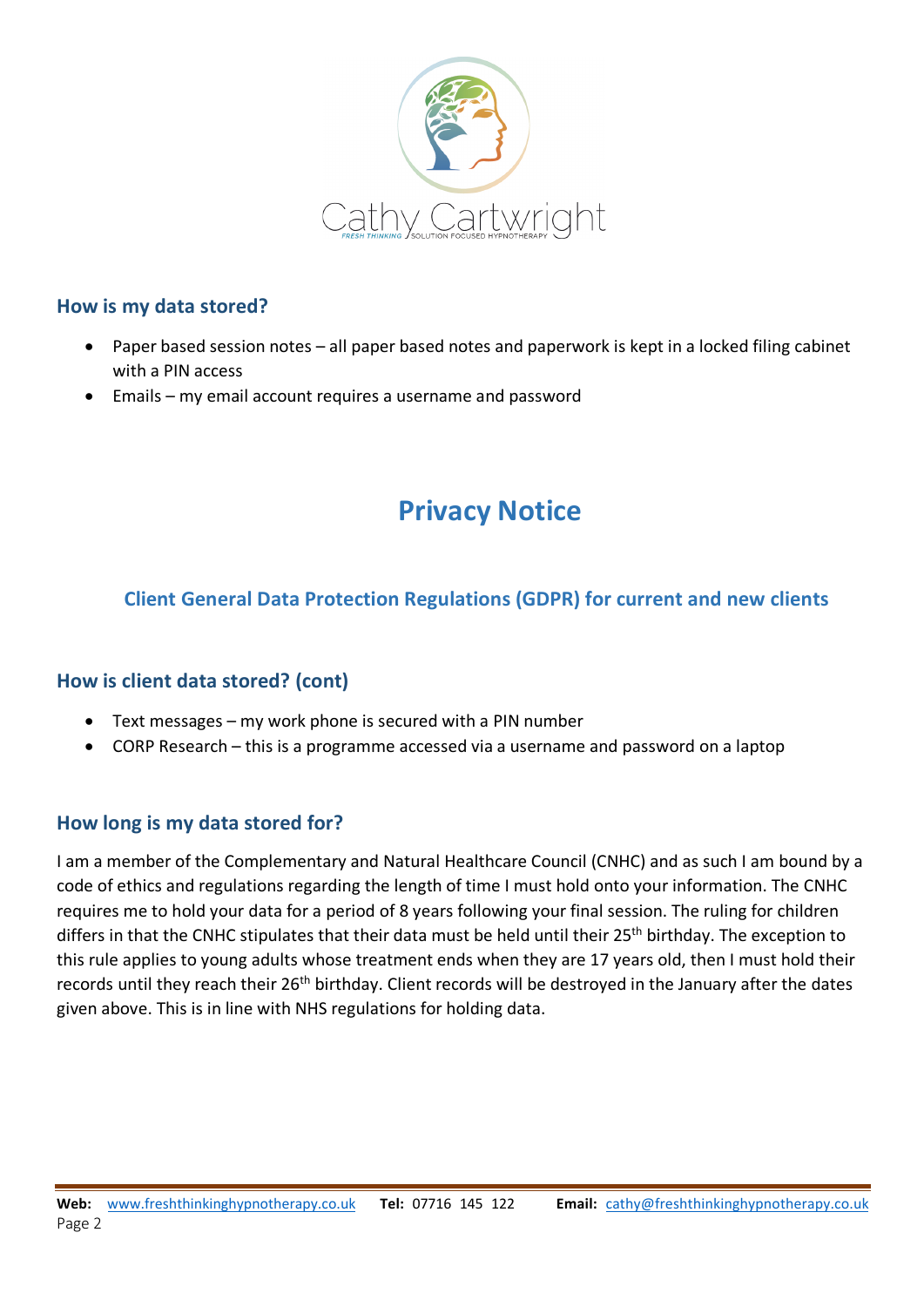

#### **How is my data stored?**

- Paper based session notes all paper based notes and paperwork is kept in a locked filing cabinet with a PIN access
- Emails my email account requires a username and password

# **Privacy Notice**

### **Client General Data Protection Regulations (GDPR) for current and new clients**

#### **How is client data stored? (cont)**

- Text messages my work phone is secured with a PIN number
- CORP Research this is a programme accessed via a username and password on a laptop

#### **How long is my data stored for?**

I am a member of the Complementary and Natural Healthcare Council (CNHC) and as such I am bound by a code of ethics and regulations regarding the length of time I must hold onto your information. The CNHC requires me to hold your data for a period of 8 years following your final session. The ruling for children differs in that the CNHC stipulates that their data must be held until their 25<sup>th</sup> birthday. The exception to this rule applies to young adults whose treatment ends when they are 17 years old, then I must hold their records until they reach their 26<sup>th</sup> birthday. Client records will be destroyed in the January after the dates given above. This is in line with NHS regulations for holding data.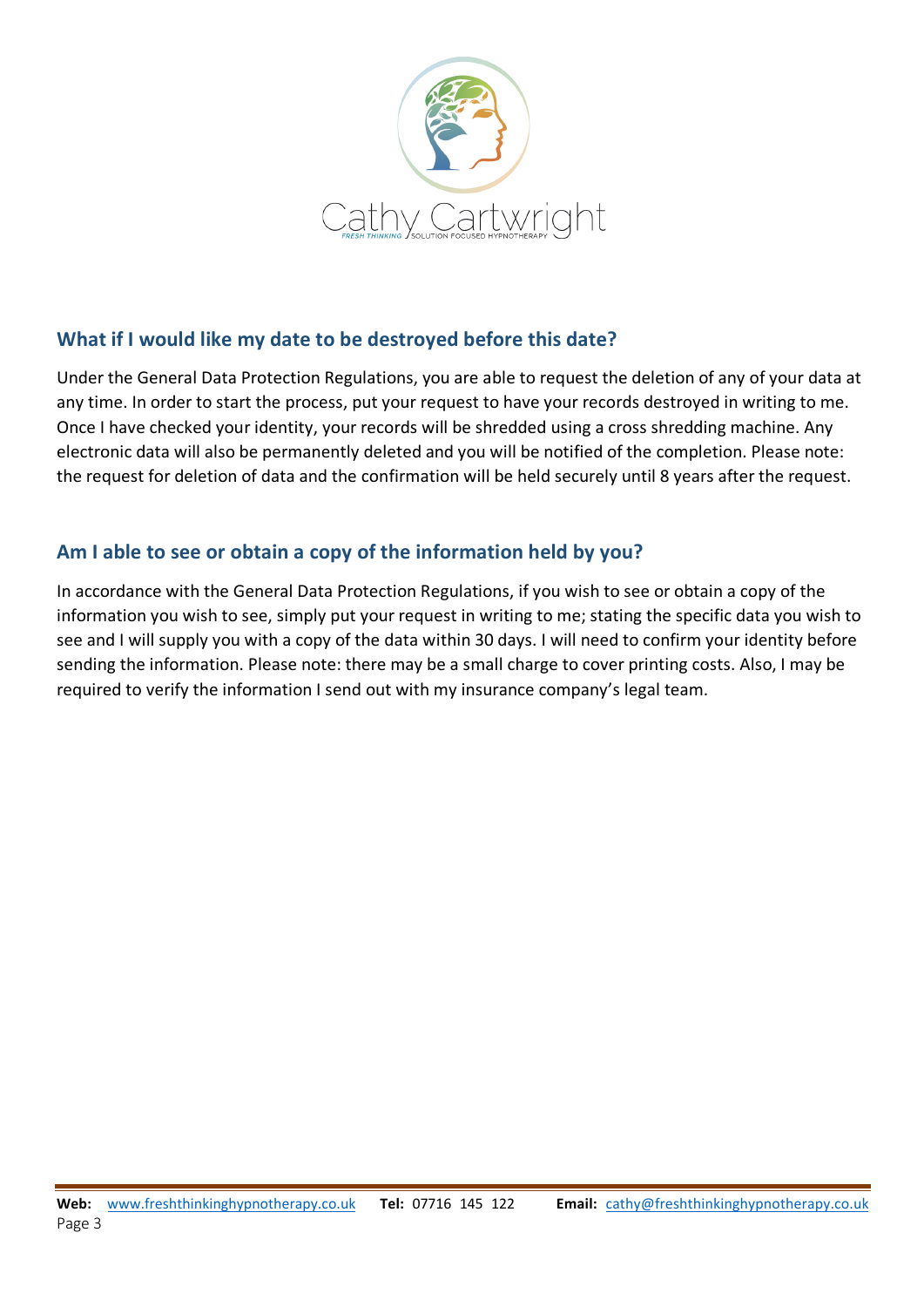

## **What if I would like my date to be destroyed before this date?**

Under the General Data Protection Regulations, you are able to request the deletion of any of your data at any time. In order to start the process, put your request to have your records destroyed in writing to me. Once I have checked your identity, your records will be shredded using a cross shredding machine. Any electronic data will also be permanently deleted and you will be notified of the completion. Please note: the request for deletion of data and the confirmation will be held securely until 8 years after the request.

## **Am I able to see or obtain a copy of the information held by you?**

In accordance with the General Data Protection Regulations, if you wish to see or obtain a copy of the information you wish to see, simply put your request in writing to me; stating the specific data you wish to see and I will supply you with a copy of the data within 30 days. I will need to confirm your identity before sending the information. Please note: there may be a small charge to cover printing costs. Also, I may be required to verify the information I send out with my insurance company's legal team.